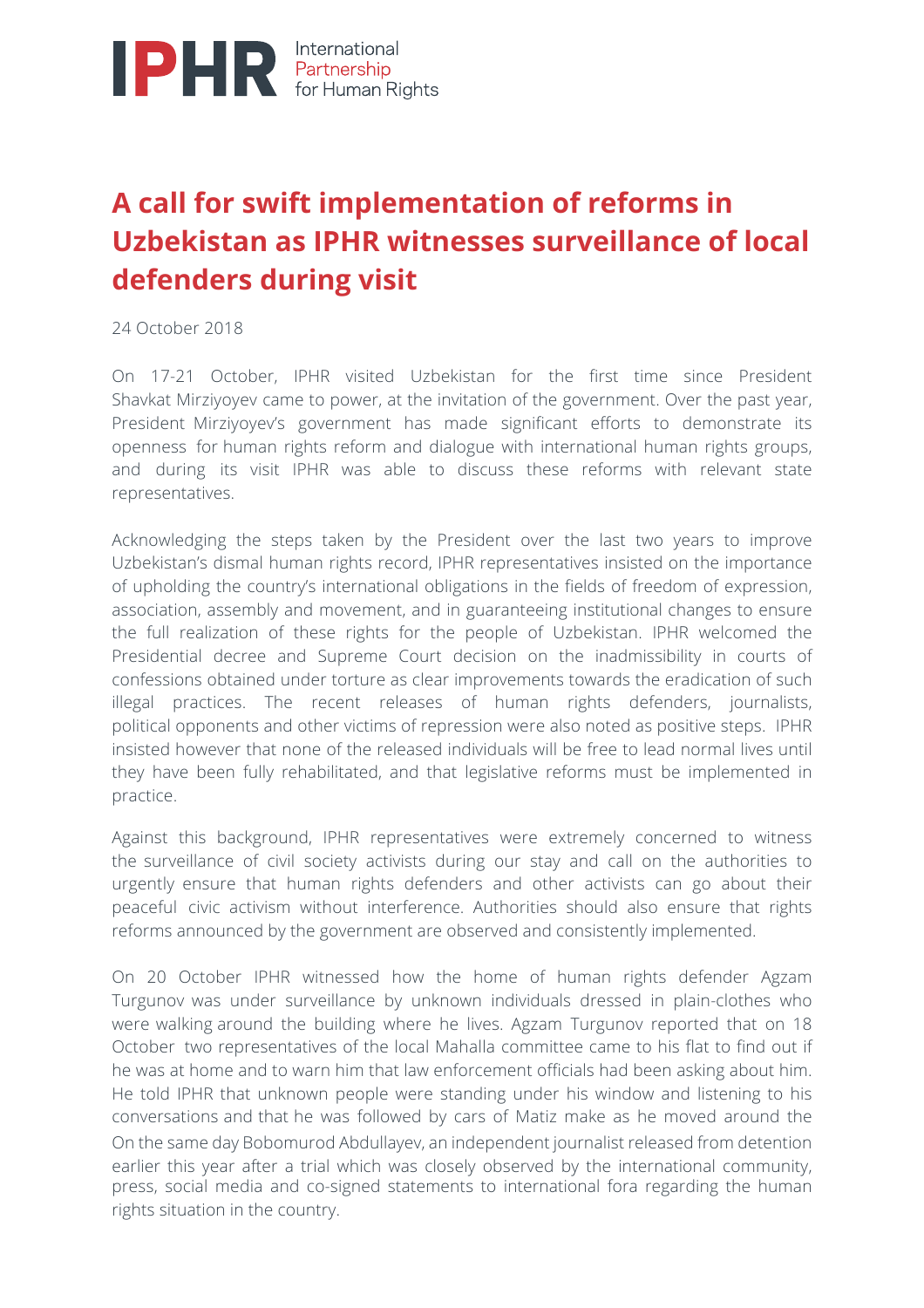

## **A call for swift implementation of reforms in Uzbekistan as IPHR witnesses surveillance of local defenders during visit**

24 October 2018

On 17-21 October, IPHR visited Uzbekistan for the first time since President Shavkat Mirziyoyev came to power, at the invitation of the government. Over the past year, President Mirziyoyev's government has made significant efforts to demonstrate its openness for human rights reform and dialogue with international human rights groups, and during its visit IPHR was able to discuss these reforms with relevant state representatives.

Acknowledging the steps taken by the President over the last two years to improve Uzbekistan's dismal human rights record, IPHR representatives insisted on the importance of upholding the country's international obligations in the fields of freedom of expression, association, assembly and movement, and in guaranteeing institutional changes to ensure the full realization of these rights for the people of Uzbekistan. IPHR welcomed the Presidential decree and Supreme Court decision on the inadmissibility in courts of confessions obtained under torture as clear improvements towards the eradication of such illegal practices. The recent releases of human rights defenders, journalists, political opponents and other victims of repression were also noted as positive steps. IPHR insisted however that none of the released individuals will be free to lead normal lives until they have been fully rehabilitated, and that legislative reforms must be implemented in practice.

Against this background, IPHR representatives were extremely concerned to witness the surveillance of civil society activists during our stay and call on the authorities to urgently ensure that human rights defenders and other activists can go about their peaceful civic activism without interference. Authorities should also ensure that rights reforms announced by the government are observed and consistently implemented.

On 20 October IPHR witnessed how the home of human rights defender Agzam Turgunov was under surveillance by unknown individuals dressed in plain-clothes who were walking around the building where he lives. Agzam Turgunov reported that on 18 October two representatives of the local Mahalla committee came to his flat to find out if he was at home and to warn him that law enforcement officials had been asking about him. He told IPHR that unknown people were standing under his window and listening to his conversations and that he was followed by cars of Matiz make as he moved around the On the same day Bobomurod Abdullayev, an independent journalist released from detention earlier this year after a trial which was closely observed by the international community, press, social media and co-signed statements to international fora regarding the human rights situation in the country.